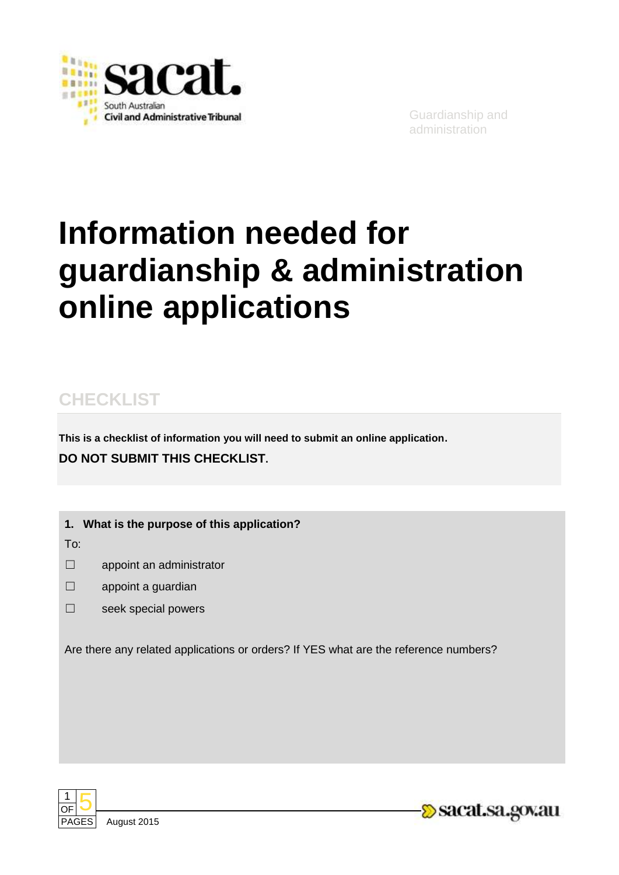

# **Information needed for guardianship & administration online applications**

# **CHECKLIST**

**This is a checklist of information you will need to submit an online application. DO NOT SUBMIT THIS CHECKLIST.**

**1. What is the purpose of this application?**

To:

- ☐ appoint an administrator
- ☐ appoint a guardian
- ☐ seek special powers

Are there any related applications or orders? If YES what are the reference numbers?



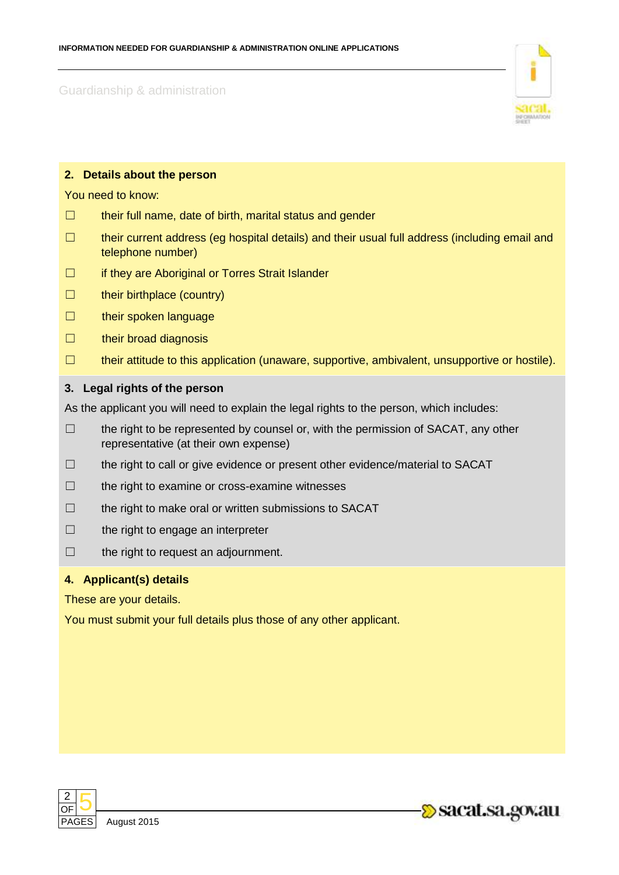

## **2. Details about the person**

You need to know:

- ☐ their full name, date of birth, marital status and gender
- ☐ their current address (eg hospital details) and their usual full address (including email and telephone number)
- □ if they are Aboriginal or Torres Strait Islander
- ☐ their birthplace (country)
- □ their spoken language
- □ their broad diagnosis
- ☐ their attitude to this application (unaware, supportive, ambivalent, unsupportive or hostile).

#### **3. Legal rights of the person**

As the applicant you will need to explain the legal rights to the person, which includes:

- $\Box$  the right to be represented by counsel or, with the permission of SACAT, any other representative (at their own expense)
- ☐ the right to call or give evidence or present other evidence/material to SACAT
- ☐ the right to examine or cross-examine witnesses
- ☐ the right to make oral or written submissions to SACAT
- ☐ the right to engage an interpreter
- ☐ the right to request an adjournment.

#### **4. Applicant(s) details**

These are your details.

You must submit your full details plus those of any other applicant.



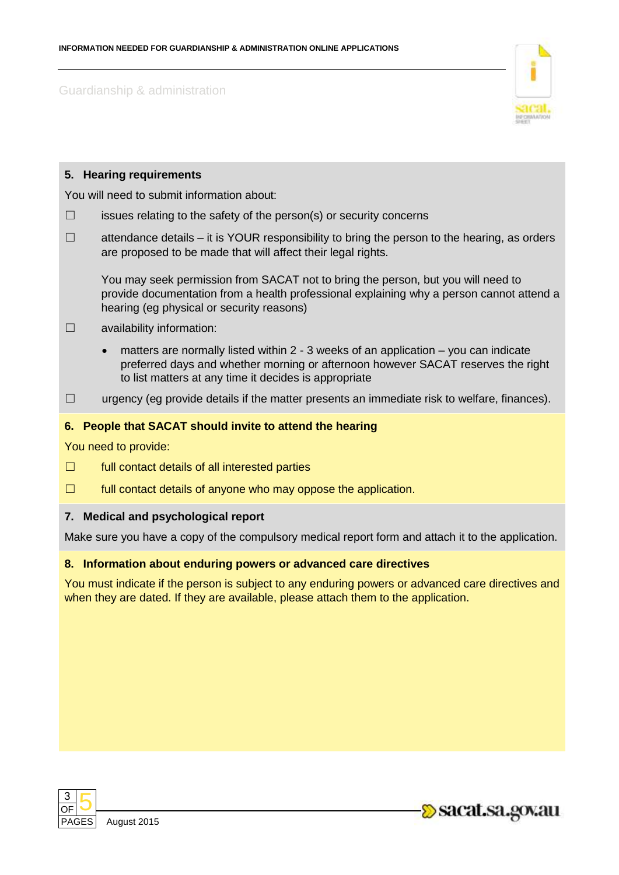

|                                            |  | 5. Hearing requirements                                                                                                                                                                                                                       |
|--------------------------------------------|--|-----------------------------------------------------------------------------------------------------------------------------------------------------------------------------------------------------------------------------------------------|
| You will need to submit information about: |  |                                                                                                                                                                                                                                               |
| $\Box$                                     |  | issues relating to the safety of the person(s) or security concerns                                                                                                                                                                           |
| $\Box$                                     |  | attendance details – it is YOUR responsibility to bring the person to the hearing, as orders<br>are proposed to be made that will affect their legal rights.                                                                                  |
|                                            |  | You may seek permission from SACAT not to bring the person, but you will need to<br>provide documentation from a health professional explaining why a person cannot attend a<br>hearing (eg physical or security reasons)                     |
| $\Box$                                     |  | availability information:                                                                                                                                                                                                                     |
|                                            |  | matters are normally listed within 2 - 3 weeks of an application – you can indicate<br>$\bullet$<br>preferred days and whether morning or afternoon however SACAT reserves the right<br>to list matters at any time it decides is appropriate |
| $\Box$                                     |  | urgency (eg provide details if the matter presents an immediate risk to welfare, finances).                                                                                                                                                   |
|                                            |  | 6. People that SACAT should invite to attend the hearing                                                                                                                                                                                      |
| You need to provide:                       |  |                                                                                                                                                                                                                                               |
| ⊔                                          |  | full contact details of all interested parties                                                                                                                                                                                                |
| $\Box$                                     |  | full contact details of anyone who may oppose the application.                                                                                                                                                                                |

## **7. Medical and psychological report**

Make sure you have a copy of the compulsory medical report form and attach it to the application.

# **8. Information about enduring powers or advanced care directives**

You must indicate if the person is subject to any enduring powers or advanced care directives and when they are dated. If they are available, please attach them to the application.



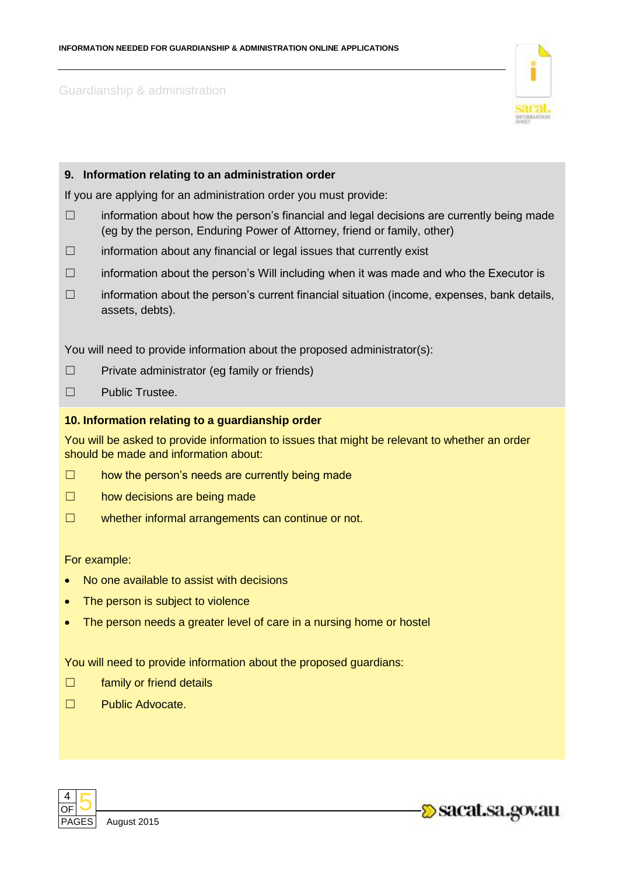

### **9. Information relating to an administration order**

If you are applying for an administration order you must provide:

- $\Box$  information about how the person's financial and legal decisions are currently being made (eg by the person, Enduring Power of Attorney, friend or family, other)
- $\Box$  information about any financial or legal issues that currently exist
- ☐ information about the person's Will including when it was made and who the Executor is
- ☐ information about the person's current financial situation (income, expenses, bank details, assets, debts).

You will need to provide information about the proposed administrator(s):

- ☐ Private administrator (eg family or friends)
- ☐ Public Trustee.

#### **10. Information relating to a guardianship order**

You will be asked to provide information to issues that might be relevant to whether an order should be made and information about:

- $\Box$  how the person's needs are currently being made
- □ how decisions are being made
- ☐ whether informal arrangements can continue or not.

For example:

- No one available to assist with decisions
- The person is subject to violence
- The person needs a greater level of care in a nursing home or hostel

You will need to provide information about the proposed guardians:

- □ family or friend details
- ☐ Public Advocate.